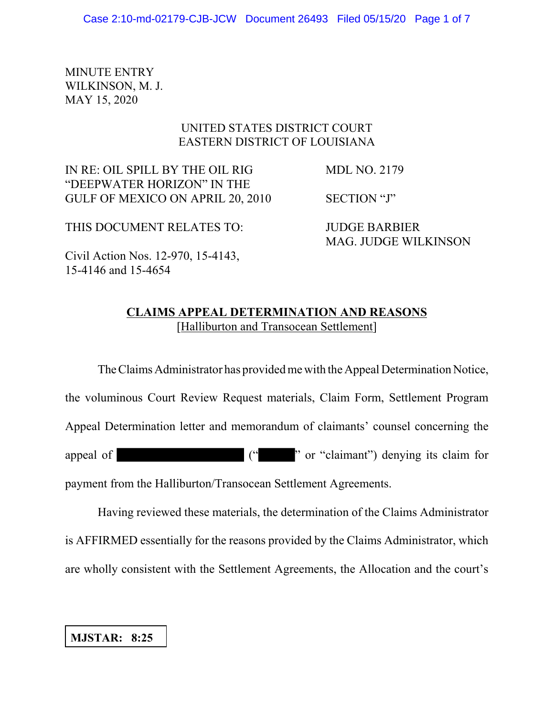MINUTE ENTRY WILKINSON, M. J. MAY 15, 2020

# UNITED STATES DISTRICT COURT EASTERN DISTRICT OF LOUISIANA

IN RE: OIL SPILL BY THE OIL RIG MDL NO. 2179 "DEEPWATER HORIZON" IN THE GULF OF MEXICO ON APRIL 20, 2010 SECTION "J"

THIS DOCUMENT RELATES TO: JUDGE BARBIER

MAG. JUDGE WILKINSON

Civil Action Nos. 12-970, 15-4143, 15-4146 and 15-4654

# **CLAIMS APPEAL DETERMINATION AND REASONS** [Halliburton and Transocean Settlement]

The Claims Administrator has provided me with the Appeal Determination Notice, the voluminous Court Review Request materials, Claim Form, Settlement Program Appeal Determination letter and memorandum of claimants' counsel concerning the appeal of  $($ "  $)$ " or "claimant") denying its claim for payment from the Halliburton/Transocean Settlement Agreements.

Having reviewed these materials, the determination of the Claims Administrator is AFFIRMED essentially for the reasons provided by the Claims Administrator, which are wholly consistent with the Settlement Agreements, the Allocation and the court's

## **MJSTAR: 8:25**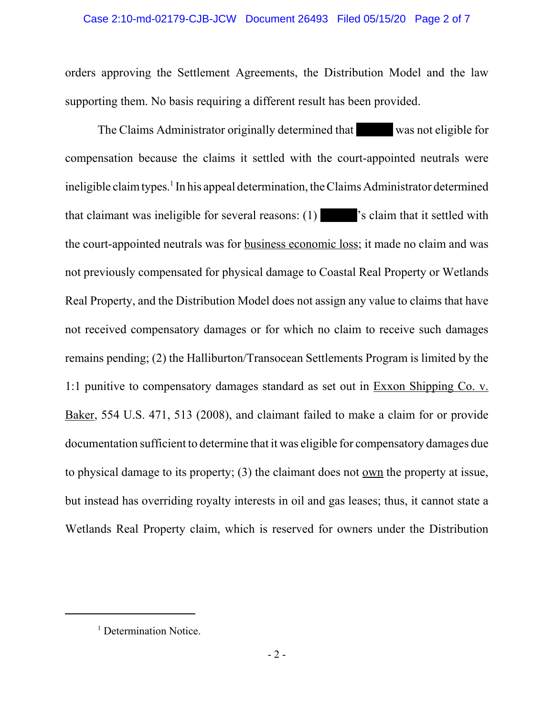#### Case 2:10-md-02179-CJB-JCW Document 26493 Filed 05/15/20 Page 2 of 7

orders approving the Settlement Agreements, the Distribution Model and the law supporting them. No basis requiring a different result has been provided.

The Claims Administrator originally determined that was not eligible for compensation because the claims it settled with the court-appointed neutrals were ineligible claim types.<sup>1</sup> In his appeal determination, the Claims Administrator determined that claimant was ineligible for several reasons: (1) 's claim that it settled with the court-appointed neutrals was for business economic loss; it made no claim and was not previously compensated for physical damage to Coastal Real Property or Wetlands Real Property, and the Distribution Model does not assign any value to claims that have not received compensatory damages or for which no claim to receive such damages remains pending; (2) the Halliburton/Transocean Settlements Program is limited by the 1:1 punitive to compensatory damages standard as set out in Exxon Shipping Co. v. Baker, 554 U.S. 471, 513 (2008), and claimant failed to make a claim for or provide documentation sufficient to determine that it was eligible for compensatory damages due to physical damage to its property; (3) the claimant does not own the property at issue, but instead has overriding royalty interests in oil and gas leases; thus, it cannot state a Wetlands Real Property claim, which is reserved for owners under the Distribution

<sup>&</sup>lt;sup>1</sup> Determination Notice.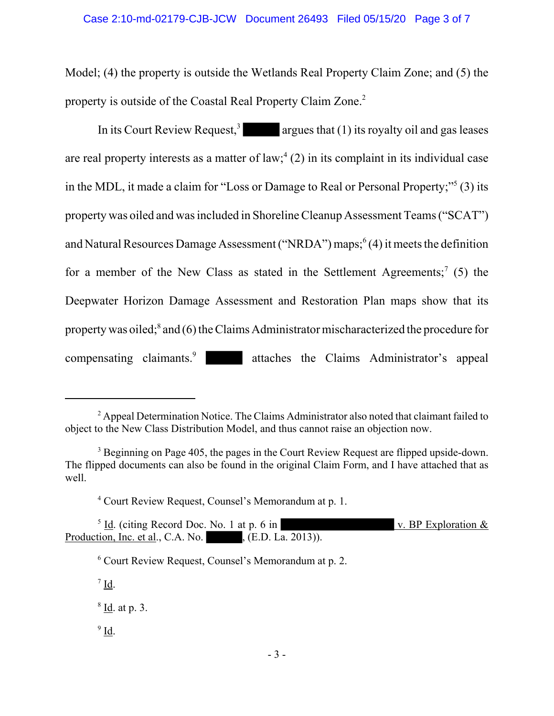Model; (4) the property is outside the Wetlands Real Property Claim Zone; and (5) the property is outside of the Coastal Real Property Claim Zone.<sup>2</sup>

In its Court Review Request,<sup>3</sup> argues that (1) its royalty oil and gas leases are real property interests as a matter of  $law$ ;  $(2)$  in its complaint in its individual case in the MDL, it made a claim for "Loss or Damage to Real or Personal Property;"<sup>5</sup> (3) its property was oiled and was included in Shoreline Cleanup Assessment Teams ("SCAT") and Natural Resources Damage Assessment ("NRDA") maps;<sup>6</sup>(4) it meets the definition for a member of the New Class as stated in the Settlement Agreements;<sup>7</sup> (5) the Deepwater Horizon Damage Assessment and Restoration Plan maps show that its property was oiled;<sup>8</sup> and (6) the Claims Administrator mischaracterized the procedure for compensating claimants.<sup>9</sup> attaches the Claims Administrator's appeal

<sup>&</sup>lt;sup>2</sup> Appeal Determination Notice. The Claims Administrator also noted that claimant failed to object to the New Class Distribution Model, and thus cannot raise an objection now.

 $3$  Beginning on Page 405, the pages in the Court Review Request are flipped upside-down. The flipped documents can also be found in the original Claim Form, and I have attached that as well.

<sup>4</sup> Court Review Request, Counsel's Memorandum at p. 1.

<sup>&</sup>lt;sup>5</sup> Id. (citing Record Doc. No. 1 at p. 6 in v. BP Exploration  $\&$ Production, Inc. et al., C.A. No. (E.D. La. 2013)).

<sup>6</sup> Court Review Request, Counsel's Memorandum at p. 2.

 $\frac{7}{10}$ .

<sup>&</sup>lt;sup>8</sup> Id. at p. 3.

 $9$   $\underline{\text{Id}}$ .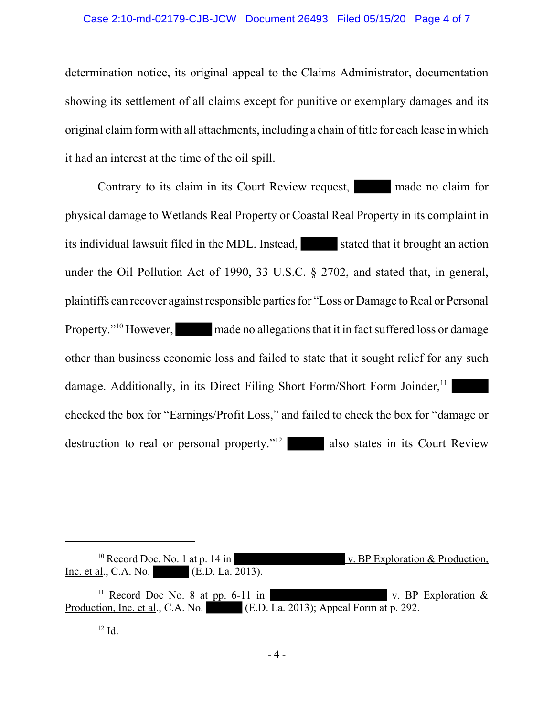### Case 2:10-md-02179-CJB-JCW Document 26493 Filed 05/15/20 Page 4 of 7

determination notice, its original appeal to the Claims Administrator, documentation showing its settlement of all claims except for punitive or exemplary damages and its original claim form with all attachments, including a chain of title for each lease in which it had an interest at the time of the oil spill.

Contrary to its claim in its Court Review request, made no claim for physical damage to Wetlands Real Property or Coastal Real Property in its complaint in its individual lawsuit filed in the MDL. Instead, stated that it brought an action under the Oil Pollution Act of 1990, 33 U.S.C. § 2702, and stated that, in general, plaintiffs can recover against responsible parties for "Loss or Damage to Real or Personal Property."<sup>10</sup> However, made no allegations that it in fact suffered loss or damage other than business economic loss and failed to state that it sought relief for any such damage. Additionally, in its Direct Filing Short Form/Short Form Joinder,  $11$ checked the box for "Earnings/Profit Loss," and failed to check the box for "damage or destruction to real or personal property."<sup>12</sup> also states in its Court Review

<sup>10</sup> Record Doc. No. 1 at p. 14 in v. BP Exploration & Production, Inc. et al., C.A. No. (E.D. La. 2013).

<sup>&</sup>lt;sup>11</sup> Record Doc No. 8 at pp. 6-11 in v. BP Exploration  $\&$ Production, Inc. et al., C.A. No. (E.D. La. 2013); Appeal Form at p. 292.

<sup>12</sup> Id.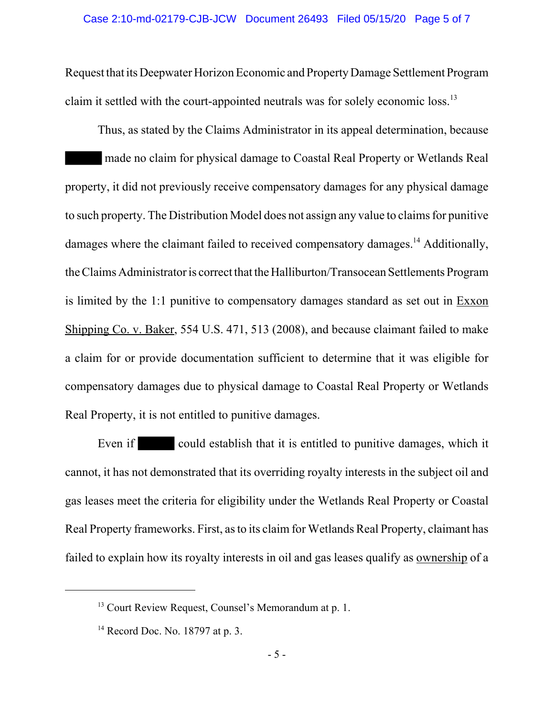Request that its Deepwater Horizon Economic and Property Damage Settlement Program claim it settled with the court-appointed neutrals was for solely economic loss.13

Thus, as stated by the Claims Administrator in its appeal determination, because made no claim for physical damage to Coastal Real Property or Wetlands Real property, it did not previously receive compensatory damages for any physical damage to such property. The Distribution Model does not assign any value to claims for punitive damages where the claimant failed to received compensatory damages.14 Additionally, the Claims Administrator is correct that the Halliburton/Transocean Settlements Program is limited by the 1:1 punitive to compensatory damages standard as set out in  $Exxon$ Shipping Co. v. Baker, 554 U.S. 471, 513 (2008), and because claimant failed to make a claim for or provide documentation sufficient to determine that it was eligible for compensatory damages due to physical damage to Coastal Real Property or Wetlands Real Property, it is not entitled to punitive damages.

Even if could establish that it is entitled to punitive damages, which it cannot, it has not demonstrated that its overriding royalty interests in the subject oil and gas leases meet the criteria for eligibility under the Wetlands Real Property or Coastal Real Property frameworks. First, as to its claim for Wetlands Real Property, claimant has failed to explain how its royalty interests in oil and gas leases qualify as ownership of a

<sup>&</sup>lt;sup>13</sup> Court Review Request, Counsel's Memorandum at p. 1.

<sup>&</sup>lt;sup>14</sup> Record Doc. No. 18797 at p. 3.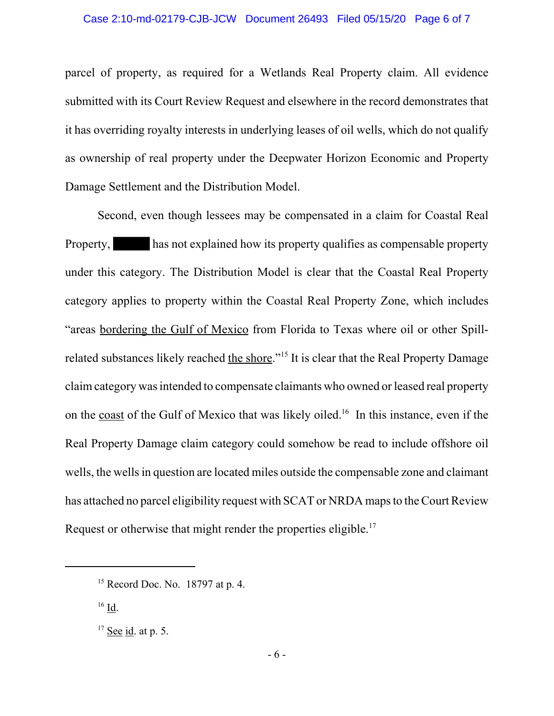parcel of property, as required for a Wetlands Real Property claim. All evidence submitted with its Court Review Request and elsewhere in the record demonstrates that it has overriding royalty interests in underlying leases of oil wells, which do not qualify as ownership of real property under the Deepwater Horizon Economic and Property Damage Settlement and the Distribution Model.

Second, even though lessees may be compensated in a claim for Coastal Real Property, has not explained how its property qualifies as compensable property under this category. The Distribution Model is clear that the Coastal Real Property category applies to property within the Coastal Real Property Zone, which includes "areas bordering the Gulf of Mexico from Florida to Texas where oil or other Spillrelated substances likely reached the shore."<sup>15</sup> It is clear that the Real Property Damage claim category was intended to compensate claimants who owned or leased real property on the coast of the Gulf of Mexico that was likely oiled.<sup>16</sup> In this instance, even if the Real Property Damage claim category could somehow be read to include offshore oil wells, the wells in question are located miles outside the compensable zone and claimant has attached no parcel eligibility request with SCAT or NRDA maps to the Court Review Request or otherwise that might render the properties eligible.<sup>17</sup>

 $16$  Id.

 $15$  Record Doc. No. 18797 at p. 4.

 $17$  See id. at p. 5.